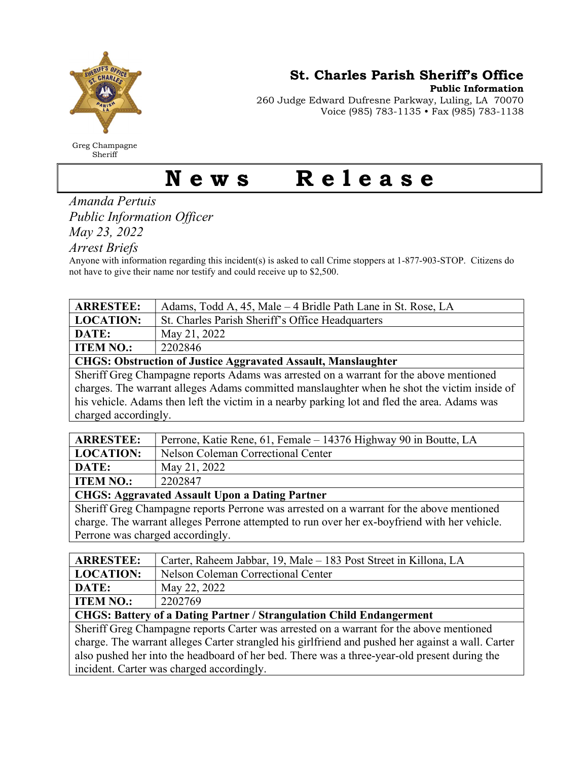

Greg Champagne Sheriff

St. Charles Parish Sheriff's Office

Public Information

260 Judge Edward Dufresne Parkway, Luling, LA 70070 Voice (985) 783-1135 • Fax (985) 783-1138

## News Release

Amanda Pertuis Public Information Officer May 23, 2022

Arrest Briefs

Anyone with information regarding this incident(s) is asked to call Crime stoppers at 1-877-903-STOP. Citizens do not have to give their name nor testify and could receive up to \$2,500.

| <b>ARRESTEE:</b>                                                                            | Adams, Todd A, 45, Male – 4 Bridle Path Lane in St. Rose, LA |  |
|---------------------------------------------------------------------------------------------|--------------------------------------------------------------|--|
| <b>LOCATION:</b>                                                                            | St. Charles Parish Sheriff's Office Headquarters             |  |
| DATE:                                                                                       | May 21, 2022                                                 |  |
| <b>ITEM NO.:</b>                                                                            | 2202846                                                      |  |
| <b>CHGS: Obstruction of Justice Aggravated Assault, Manslaughter</b>                        |                                                              |  |
| Sheriff Greg Champagne reports Adams was arrested on a warrant for the above mentioned      |                                                              |  |
| charges. The warrant alleges Adams committed manslaughter when he shot the victim inside of |                                                              |  |

charges. The warrant alleges Adams committed manslaughter when he shot the victim inside of his vehicle. Adams then left the victim in a nearby parking lot and fled the area. Adams was charged accordingly.

| <b>ARRESTEE:</b>                                      | Perrone, Katie Rene, 61, Female – 14376 Highway 90 in Boutte, LA                                                                                                                                                                                                                                                  |  |
|-------------------------------------------------------|-------------------------------------------------------------------------------------------------------------------------------------------------------------------------------------------------------------------------------------------------------------------------------------------------------------------|--|
| <b>LOCATION:</b>                                      | Nelson Coleman Correctional Center                                                                                                                                                                                                                                                                                |  |
| DATE:                                                 | May 21, 2022                                                                                                                                                                                                                                                                                                      |  |
| <b>ITEM NO.:</b>                                      | 2202847                                                                                                                                                                                                                                                                                                           |  |
| <b>CHGS: Aggravated Assault Upon a Dating Partner</b> |                                                                                                                                                                                                                                                                                                                   |  |
| $\alpha$ $\alpha$ $\alpha$ $\alpha$ $\alpha$ $\alpha$ | $\mathcal{L}$ and $\mathcal{L}$ and $\mathcal{L}$ and $\mathcal{L}$ and $\mathcal{L}$ and $\mathcal{L}$ and $\mathcal{L}$ and $\mathcal{L}$ and $\mathcal{L}$ and $\mathcal{L}$ and $\mathcal{L}$ and $\mathcal{L}$ and $\mathcal{L}$ and $\mathcal{L}$ and $\mathcal{L}$ and $\mathcal{L}$ and $\mathcal{L}$ and |  |

Sheriff Greg Champagne reports Perrone was arrested on a warrant for the above mentioned charge. The warrant alleges Perrone attempted to run over her ex-boyfriend with her vehicle. Perrone was charged accordingly.

| Carter, Raheem Jabbar, 19, Male – 183 Post Street in Killona, LA                                  |  |  |
|---------------------------------------------------------------------------------------------------|--|--|
| Nelson Coleman Correctional Center                                                                |  |  |
| May 22, 2022                                                                                      |  |  |
| 2202769                                                                                           |  |  |
| <b>CHGS: Battery of a Dating Partner / Strangulation Child Endangerment</b>                       |  |  |
| Sheriff Greg Champagne reports Carter was arrested on a warrant for the above mentioned           |  |  |
| charge. The warrant alleges Carter strangled his girlfriend and pushed her against a wall. Carter |  |  |
| also pushed her into the headboard of her bed. There was a three-year-old present during the      |  |  |
|                                                                                                   |  |  |

incident. Carter was charged accordingly.